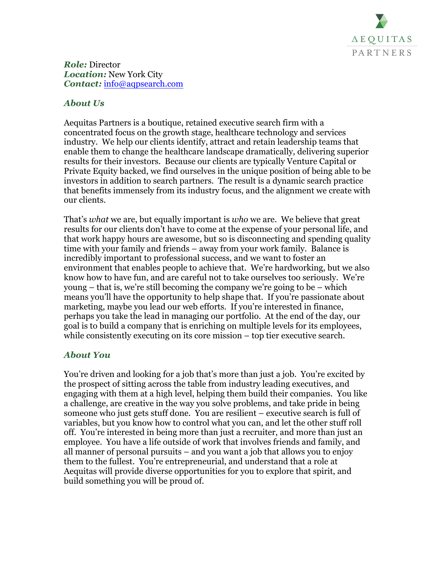

*Role:* Director *Location:* New York City *Contact:* info@aqpsearch.com

## *About Us*

Aequitas Partners is a boutique, retained executive search firm with a concentrated focus on the growth stage, healthcare technology and services industry. We help our clients identify, attract and retain leadership teams that enable them to change the healthcare landscape dramatically, delivering superior results for their investors. Because our clients are typically Venture Capital or Private Equity backed, we find ourselves in the unique position of being able to be investors in addition to search partners. The result is a dynamic search practice that benefits immensely from its industry focus, and the alignment we create with our clients.

That's *what* we are, but equally important is *who* we are. We believe that great results for our clients don't have to come at the expense of your personal life, and that work happy hours are awesome, but so is disconnecting and spending quality time with your family and friends – away from your work family. Balance is incredibly important to professional success, and we want to foster an environment that enables people to achieve that. We're hardworking, but we also know how to have fun, and are careful not to take ourselves too seriously. We're young – that is, we're still becoming the company we're going to be – which means you'll have the opportunity to help shape that. If you're passionate about marketing, maybe you lead our web efforts. If you're interested in finance, perhaps you take the lead in managing our portfolio. At the end of the day, our goal is to build a company that is enriching on multiple levels for its employees, while consistently executing on its core mission – top tier executive search.

## *About You*

You're driven and looking for a job that's more than just a job. You're excited by the prospect of sitting across the table from industry leading executives, and engaging with them at a high level, helping them build their companies. You like a challenge, are creative in the way you solve problems, and take pride in being someone who just gets stuff done. You are resilient – executive search is full of variables, but you know how to control what you can, and let the other stuff roll off. You're interested in being more than just a recruiter, and more than just an employee. You have a life outside of work that involves friends and family, and all manner of personal pursuits – and you want a job that allows you to enjoy them to the fullest. You're entrepreneurial, and understand that a role at Aequitas will provide diverse opportunities for you to explore that spirit, and build something you will be proud of.